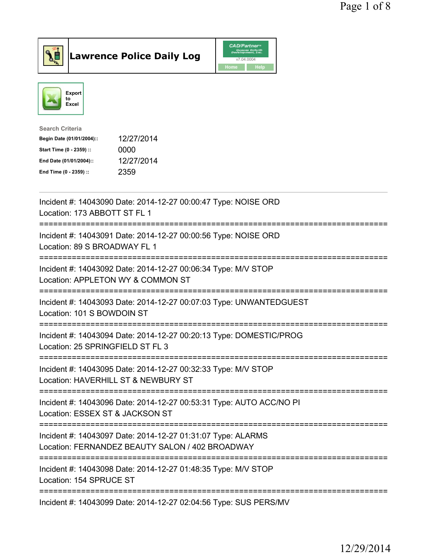



| <b>Search Criteria</b>    |            |
|---------------------------|------------|
| Begin Date (01/01/2004):: | 12/27/2014 |
| Start Time (0 - 2359) ::  | 0000       |
| End Date (01/01/2004)::   | 12/27/2014 |
| End Time (0 - 2359) ::    | 2359       |
|                           |            |

| Incident #: 14043090 Date: 2014-12-27 00:00:47 Type: NOISE ORD<br>Location: 173 ABBOTT ST FL 1<br>============                          |
|-----------------------------------------------------------------------------------------------------------------------------------------|
| Incident #: 14043091 Date: 2014-12-27 00:00:56 Type: NOISE ORD<br>Location: 89 S BROADWAY FL 1<br>------------                          |
| Incident #: 14043092 Date: 2014-12-27 00:06:34 Type: M/V STOP<br>Location: APPLETON WY & COMMON ST<br>=========================         |
| Incident #: 14043093 Date: 2014-12-27 00:07:03 Type: UNWANTEDGUEST<br>Location: 101 S BOWDOIN ST                                        |
| Incident #: 14043094 Date: 2014-12-27 00:20:13 Type: DOMESTIC/PROG<br>Location: 25 SPRINGFIELD ST FL 3                                  |
| Incident #: 14043095 Date: 2014-12-27 00:32:33 Type: M/V STOP<br>Location: HAVERHILL ST & NEWBURY ST<br>=============================== |
| Incident #: 14043096 Date: 2014-12-27 00:53:31 Type: AUTO ACC/NO PI<br>Location: ESSEX ST & JACKSON ST<br>============================  |
| Incident #: 14043097 Date: 2014-12-27 01:31:07 Type: ALARMS<br>Location: FERNANDEZ BEAUTY SALON / 402 BROADWAY                          |
| Incident #: 14043098 Date: 2014-12-27 01:48:35 Type: M/V STOP<br>Location: 154 SPRUCE ST                                                |
| Incident #: 14043099 Date: 2014-12-27 02:04:56 Type: SUS PERS/MV                                                                        |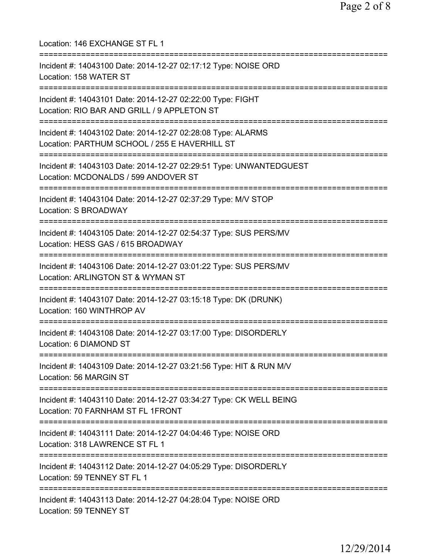| Location: 146 EXCHANGE ST FL 1                                                                                                                                       |
|----------------------------------------------------------------------------------------------------------------------------------------------------------------------|
| Incident #: 14043100 Date: 2014-12-27 02:17:12 Type: NOISE ORD<br>Location: 158 WATER ST                                                                             |
| Incident #: 14043101 Date: 2014-12-27 02:22:00 Type: FIGHT<br>Location: RIO BAR AND GRILL / 9 APPLETON ST                                                            |
| Incident #: 14043102 Date: 2014-12-27 02:28:08 Type: ALARMS<br>Location: PARTHUM SCHOOL / 255 E HAVERHILL ST                                                         |
| Incident #: 14043103 Date: 2014-12-27 02:29:51 Type: UNWANTEDGUEST<br>Location: MCDONALDS / 599 ANDOVER ST                                                           |
| .===================================<br>Incident #: 14043104 Date: 2014-12-27 02:37:29 Type: M/V STOP<br><b>Location: S BROADWAY</b>                                 |
| Incident #: 14043105 Date: 2014-12-27 02:54:37 Type: SUS PERS/MV<br>Location: HESS GAS / 615 BROADWAY                                                                |
| Incident #: 14043106 Date: 2014-12-27 03:01:22 Type: SUS PERS/MV<br>Location: ARLINGTON ST & WYMAN ST                                                                |
| Incident #: 14043107 Date: 2014-12-27 03:15:18 Type: DK (DRUNK)<br>Location: 160 WINTHROP AV                                                                         |
| Incident #: 14043108 Date: 2014-12-27 03:17:00 Type: DISORDERLY<br>Location: 6 DIAMOND ST                                                                            |
| ;==================================<br>=============================<br>Incident #: 14043109 Date: 2014-12-27 03:21:56 Type: HIT & RUN M/V<br>Location: 56 MARGIN ST |
| Incident #: 14043110 Date: 2014-12-27 03:34:27 Type: CK WELL BEING<br>Location: 70 FARNHAM ST FL 1FRONT                                                              |
| Incident #: 14043111 Date: 2014-12-27 04:04:46 Type: NOISE ORD<br>Location: 318 LAWRENCE ST FL 1                                                                     |
| Incident #: 14043112 Date: 2014-12-27 04:05:29 Type: DISORDERLY<br>Location: 59 TENNEY ST FL 1                                                                       |
| Incident #: 14043113 Date: 2014-12-27 04:28:04 Type: NOISE ORD<br>Location: 59 TENNEY ST                                                                             |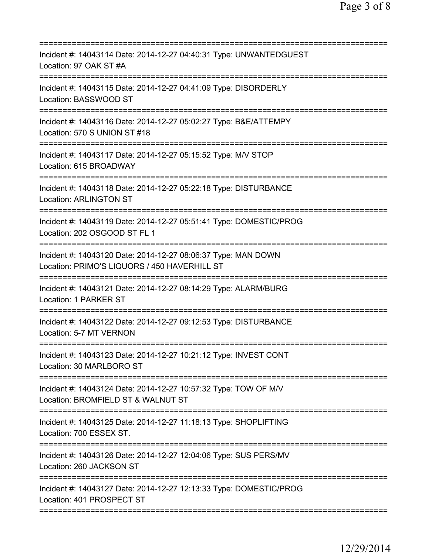| Incident #: 14043114 Date: 2014-12-27 04:40:31 Type: UNWANTEDGUEST<br>Location: 97 OAK ST #A                  |
|---------------------------------------------------------------------------------------------------------------|
| Incident #: 14043115 Date: 2014-12-27 04:41:09 Type: DISORDERLY<br>Location: BASSWOOD ST                      |
| Incident #: 14043116 Date: 2014-12-27 05:02:27 Type: B&E/ATTEMPY<br>Location: 570 S UNION ST #18              |
| Incident #: 14043117 Date: 2014-12-27 05:15:52 Type: M/V STOP<br>Location: 615 BROADWAY                       |
| Incident #: 14043118 Date: 2014-12-27 05:22:18 Type: DISTURBANCE<br><b>Location: ARLINGTON ST</b>             |
| Incident #: 14043119 Date: 2014-12-27 05:51:41 Type: DOMESTIC/PROG<br>Location: 202 OSGOOD ST FL 1            |
| Incident #: 14043120 Date: 2014-12-27 08:06:37 Type: MAN DOWN<br>Location: PRIMO'S LIQUORS / 450 HAVERHILL ST |
| Incident #: 14043121 Date: 2014-12-27 08:14:29 Type: ALARM/BURG<br>Location: 1 PARKER ST                      |
| Incident #: 14043122 Date: 2014-12-27 09:12:53 Type: DISTURBANCE<br>Location: 5-7 MT VERNON                   |
| Incident #: 14043123 Date: 2014-12-27 10:21:12 Type: INVEST CONT<br>Location: 30 MARLBORO ST                  |
| Incident #: 14043124 Date: 2014-12-27 10:57:32 Type: TOW OF M/V<br>Location: BROMFIELD ST & WALNUT ST         |
| Incident #: 14043125 Date: 2014-12-27 11:18:13 Type: SHOPLIFTING<br>Location: 700 ESSEX ST.                   |
| Incident #: 14043126 Date: 2014-12-27 12:04:06 Type: SUS PERS/MV<br>Location: 260 JACKSON ST                  |
| Incident #: 14043127 Date: 2014-12-27 12:13:33 Type: DOMESTIC/PROG<br>Location: 401 PROSPECT ST               |
|                                                                                                               |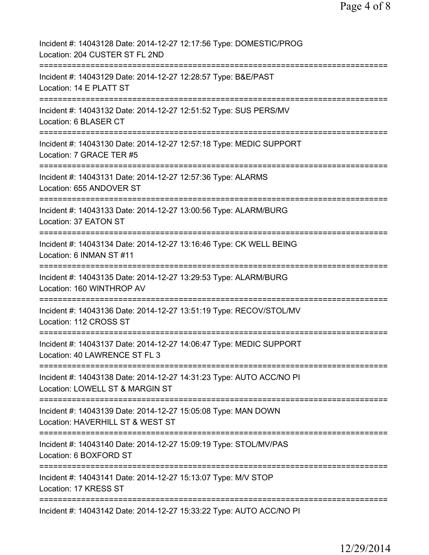| Incident #: 14043128 Date: 2014-12-27 12:17:56 Type: DOMESTIC/PROG<br>Location: 204 CUSTER ST FL 2ND                         |
|------------------------------------------------------------------------------------------------------------------------------|
| Incident #: 14043129 Date: 2014-12-27 12:28:57 Type: B&E/PAST<br>Location: 14 E PLATT ST                                     |
| Incident #: 14043132 Date: 2014-12-27 12:51:52 Type: SUS PERS/MV<br>Location: 6 BLASER CT                                    |
| Incident #: 14043130 Date: 2014-12-27 12:57:18 Type: MEDIC SUPPORT<br>Location: 7 GRACE TER #5                               |
| Incident #: 14043131 Date: 2014-12-27 12:57:36 Type: ALARMS<br>Location: 655 ANDOVER ST                                      |
| Incident #: 14043133 Date: 2014-12-27 13:00:56 Type: ALARM/BURG<br>Location: 37 EATON ST                                     |
| Incident #: 14043134 Date: 2014-12-27 13:16:46 Type: CK WELL BEING<br>Location: 6 INMAN ST #11                               |
| Incident #: 14043135 Date: 2014-12-27 13:29:53 Type: ALARM/BURG<br>Location: 160 WINTHROP AV                                 |
| Incident #: 14043136 Date: 2014-12-27 13:51:19 Type: RECOV/STOL/MV<br>Location: 112 CROSS ST                                 |
| Incident #: 14043137 Date: 2014-12-27 14:06:47 Type: MEDIC SUPPORT<br>Location: 40 LAWRENCE ST FL 3                          |
| Incident #: 14043138 Date: 2014-12-27 14:31:23 Type: AUTO ACC/NO PI<br>Location: LOWELL ST & MARGIN ST                       |
| Incident #: 14043139 Date: 2014-12-27 15:05:08 Type: MAN DOWN<br>Location: HAVERHILL ST & WEST ST                            |
| ==============================<br>Incident #: 14043140 Date: 2014-12-27 15:09:19 Type: STOL/MV/PAS<br>Location: 6 BOXFORD ST |
| Incident #: 14043141 Date: 2014-12-27 15:13:07 Type: M/V STOP<br>Location: 17 KRESS ST                                       |
| Incident #: 14043142 Date: 2014-12-27 15:33:22 Type: AUTO ACC/NO PI                                                          |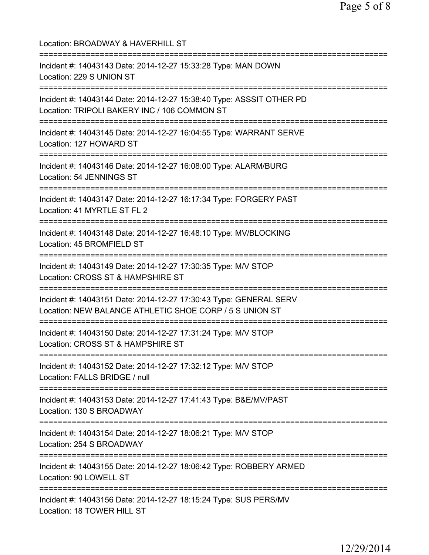| Location: BROADWAY & HAVERHILL ST                                                                                                  |
|------------------------------------------------------------------------------------------------------------------------------------|
| Incident #: 14043143 Date: 2014-12-27 15:33:28 Type: MAN DOWN<br>Location: 229 S UNION ST                                          |
| Incident #: 14043144 Date: 2014-12-27 15:38:40 Type: ASSSIT OTHER PD<br>Location: TRIPOLI BAKERY INC / 106 COMMON ST               |
| Incident #: 14043145 Date: 2014-12-27 16:04:55 Type: WARRANT SERVE<br>Location: 127 HOWARD ST                                      |
| ===================================<br>Incident #: 14043146 Date: 2014-12-27 16:08:00 Type: ALARM/BURG<br>Location: 54 JENNINGS ST |
| ==============================<br>Incident #: 14043147 Date: 2014-12-27 16:17:34 Type: FORGERY PAST<br>Location: 41 MYRTLE ST FL 2 |
| Incident #: 14043148 Date: 2014-12-27 16:48:10 Type: MV/BLOCKING<br>Location: 45 BROMFIELD ST                                      |
| Incident #: 14043149 Date: 2014-12-27 17:30:35 Type: M/V STOP<br>Location: CROSS ST & HAMPSHIRE ST                                 |
| Incident #: 14043151 Date: 2014-12-27 17:30:43 Type: GENERAL SERV<br>Location: NEW BALANCE ATHLETIC SHOE CORP / 5 S UNION ST       |
| Incident #: 14043150 Date: 2014-12-27 17:31:24 Type: M/V STOP<br>Location: CROSS ST & HAMPSHIRE ST                                 |
| ==============================<br>Incident #: 14043152 Date: 2014-12-27 17:32:12 Type: M/V STOP<br>Location: FALLS BRIDGE / null   |
| Incident #: 14043153 Date: 2014-12-27 17:41:43 Type: B&E/MV/PAST<br>Location: 130 S BROADWAY                                       |
| Incident #: 14043154 Date: 2014-12-27 18:06:21 Type: M/V STOP<br>Location: 254 S BROADWAY                                          |
| ===========================<br>Incident #: 14043155 Date: 2014-12-27 18:06:42 Type: ROBBERY ARMED<br>Location: 90 LOWELL ST        |
| Incident #: 14043156 Date: 2014-12-27 18:15:24 Type: SUS PERS/MV<br>Location: 18 TOWER HILL ST                                     |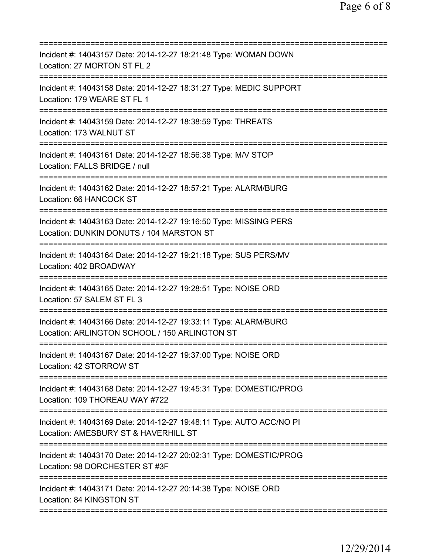| Incident #: 14043157 Date: 2014-12-27 18:21:48 Type: WOMAN DOWN<br>Location: 27 MORTON ST FL 2                                                                          |
|-------------------------------------------------------------------------------------------------------------------------------------------------------------------------|
| Incident #: 14043158 Date: 2014-12-27 18:31:27 Type: MEDIC SUPPORT<br>Location: 179 WEARE ST FL 1                                                                       |
| Incident #: 14043159 Date: 2014-12-27 18:38:59 Type: THREATS<br>Location: 173 WALNUT ST                                                                                 |
| Incident #: 14043161 Date: 2014-12-27 18:56:38 Type: M/V STOP<br>Location: FALLS BRIDGE / null                                                                          |
| Incident #: 14043162 Date: 2014-12-27 18:57:21 Type: ALARM/BURG<br>Location: 66 HANCOCK ST                                                                              |
| ======================================<br>Incident #: 14043163 Date: 2014-12-27 19:16:50 Type: MISSING PERS<br>Location: DUNKIN DONUTS / 104 MARSTON ST                 |
| =================================<br>Incident #: 14043164 Date: 2014-12-27 19:21:18 Type: SUS PERS/MV<br>Location: 402 BROADWAY<br>==================================== |
| Incident #: 14043165 Date: 2014-12-27 19:28:51 Type: NOISE ORD<br>Location: 57 SALEM ST FL 3                                                                            |
| Incident #: 14043166 Date: 2014-12-27 19:33:11 Type: ALARM/BURG<br>Location: ARLINGTON SCHOOL / 150 ARLINGTON ST                                                        |
| Incident #: 14043167 Date: 2014-12-27 19:37:00 Type: NOISE ORD<br>Location: 42 STORROW ST                                                                               |
| Incident #: 14043168 Date: 2014-12-27 19:45:31 Type: DOMESTIC/PROG<br>Location: 109 THOREAU WAY #722                                                                    |
| Incident #: 14043169 Date: 2014-12-27 19:48:11 Type: AUTO ACC/NO PI<br>Location: AMESBURY ST & HAVERHILL ST                                                             |
| Incident #: 14043170 Date: 2014-12-27 20:02:31 Type: DOMESTIC/PROG<br>Location: 98 DORCHESTER ST #3F                                                                    |
| Incident #: 14043171 Date: 2014-12-27 20:14:38 Type: NOISE ORD<br>Location: 84 KINGSTON ST                                                                              |
|                                                                                                                                                                         |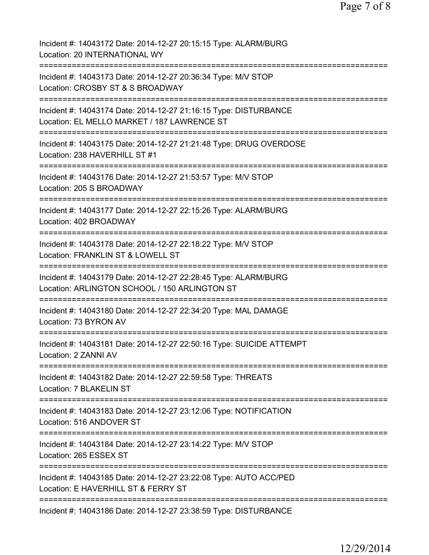| Incident #: 14043172 Date: 2014-12-27 20:15:15 Type: ALARM/BURG<br>Location: 20 INTERNATIONAL WY                    |
|---------------------------------------------------------------------------------------------------------------------|
| Incident #: 14043173 Date: 2014-12-27 20:36:34 Type: M/V STOP<br>Location: CROSBY ST & S BROADWAY                   |
| Incident #: 14043174 Date: 2014-12-27 21:16:15 Type: DISTURBANCE<br>Location: EL MELLO MARKET / 187 LAWRENCE ST     |
| Incident #: 14043175 Date: 2014-12-27 21:21:48 Type: DRUG OVERDOSE<br>Location: 238 HAVERHILL ST #1                 |
| Incident #: 14043176 Date: 2014-12-27 21:53:57 Type: M/V STOP<br>Location: 205 S BROADWAY                           |
| Incident #: 14043177 Date: 2014-12-27 22:15:26 Type: ALARM/BURG<br>Location: 402 BROADWAY<br>==========             |
| Incident #: 14043178 Date: 2014-12-27 22:18:22 Type: M/V STOP<br>Location: FRANKLIN ST & LOWELL ST                  |
| Incident #: 14043179 Date: 2014-12-27 22:28:45 Type: ALARM/BURG<br>Location: ARLINGTON SCHOOL / 150 ARLINGTON ST    |
| Incident #: 14043180 Date: 2014-12-27 22:34:20 Type: MAL DAMAGE<br>Location: 73 BYRON AV                            |
| -------------------<br>Incident #: 14043181 Date: 2014-12-27 22:50:16 Type: SUICIDE ATTEMPT<br>Location: 2 ZANNI AV |
| ========================<br>Incident #: 14043182 Date: 2014-12-27 22:59:58 Type: THREATS<br>Location: 7 BLAKELIN ST |
| Incident #: 14043183 Date: 2014-12-27 23:12:06 Type: NOTIFICATION<br>Location: 516 ANDOVER ST                       |
| Incident #: 14043184 Date: 2014-12-27 23:14:22 Type: M/V STOP<br>Location: 265 ESSEX ST                             |
| Incident #: 14043185 Date: 2014-12-27 23:22:08 Type: AUTO ACC/PED<br>Location: E HAVERHILL ST & FERRY ST            |
| Incident #: 14043186 Date: 2014-12-27 23:38:59 Type: DISTURBANCE                                                    |